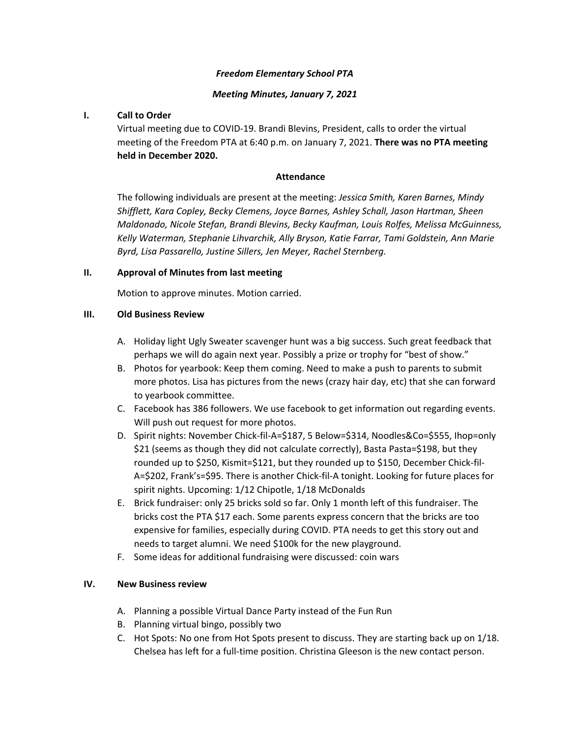## *Freedom Elementary School PTA*

# *Meeting Minutes, January 7, 2021*

# **I. Call to Order**

Virtual meeting due to COVID-19. Brandi Blevins, President, calls to order the virtual meeting of the Freedom PTA at 6:40 p.m. on January 7, 2021. **There was no PTA meeting held in December 2020.**

### **Attendance**

The following individuals are present at the meeting: *Jessica Smith, Karen Barnes, Mindy Shifflett, Kara Copley, Becky Clemens, Joyce Barnes, Ashley Schall, Jason Hartman, Sheen Maldonado, Nicole Stefan, Brandi Blevins, Becky Kaufman, Louis Rolfes, Melissa McGuinness, Kelly Waterman, Stephanie Lihvarchik, Ally Bryson, Katie Farrar, Tami Goldstein, Ann Marie Byrd, Lisa Passarello, Justine Sillers, Jen Meyer, Rachel Sternberg.* 

# **II. Approval of Minutes from last meeting**

Motion to approve minutes. Motion carried.

### **III. Old Business Review**

- A. Holiday light Ugly Sweater scavenger hunt was a big success. Such great feedback that perhaps we will do again next year. Possibly a prize or trophy for "best of show."
- B. Photos for yearbook: Keep them coming. Need to make a push to parents to submit more photos. Lisa has pictures from the news (crazy hair day, etc) that she can forward to yearbook committee.
- C. Facebook has 386 followers. We use facebook to get information out regarding events. Will push out request for more photos.
- D. Spirit nights: November Chick-fil-A=\$187, 5 Below=\$314, Noodles&Co=\$555, Ihop=only \$21 (seems as though they did not calculate correctly), Basta Pasta=\$198, but they rounded up to \$250, Kismit=\$121, but they rounded up to \$150, December Chick-fil-A=\$202, Frank's=\$95. There is another Chick-fil-A tonight. Looking for future places for spirit nights. Upcoming: 1/12 Chipotle, 1/18 McDonalds
- E. Brick fundraiser: only 25 bricks sold so far. Only 1 month left of this fundraiser. The bricks cost the PTA \$17 each. Some parents express concern that the bricks are too expensive for families, especially during COVID. PTA needs to get this story out and needs to target alumni. We need \$100k for the new playground.
- F. Some ideas for additional fundraising were discussed: coin wars

# **IV. New Business review**

- A. Planning a possible Virtual Dance Party instead of the Fun Run
- B. Planning virtual bingo, possibly two
- C. Hot Spots: No one from Hot Spots present to discuss. They are starting back up on 1/18. Chelsea has left for a full-time position. Christina Gleeson is the new contact person.